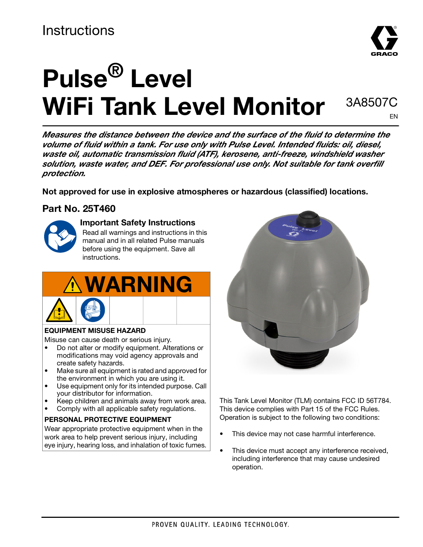# **Instructions**



# **Pulse® Level WiFi Tank Level Monitor**

 3A8507C EN

**Measures the distance between the device and the surface of the fluid to determine the volume of fluid within a tank. For use only with Pulse Level. Intended fluids: oil, diesel, waste oil, automatic transmission fluid (ATF), kerosene, anti-freeze, windshield washer solution, waste water, and DEF. For professional use only. Not suitable for tank overfill protection.**

**Not approved for use in explosive atmospheres or hazardous (classified) locations.** 

### **Part No. 25T460**



### **Important Safety Instructions**

Read all warnings and instructions in this manual and in all related Pulse manuals before using the equipment. Save all instructions.





#### **EQUIPMENT MISUSE HAZARD**

Misuse can cause death or serious injury.

- Do not alter or modify equipment. Alterations or modifications may void agency approvals and create safety hazards.
- Make sure all equipment is rated and approved for the environment in which you are using it.
- Use equipment only for its intended purpose. Call your distributor for information.
- Keep children and animals away from work area.
- Comply with all applicable safety regulations.

#### **PERSONAL PROTECTIVE EQUIPMENT**

Wear appropriate protective equipment when in the work area to help prevent serious injury, including eye injury, hearing loss, and inhalation of toxic fumes.



This Tank Level Monitor (TLM) contains FCC ID 56T784. This device complies with Part 15 of the FCC Rules. Operation is subject to the following two conditions:

- This device may not case harmful interference.
- This device must accept any interference received, including interference that may cause undesired operation.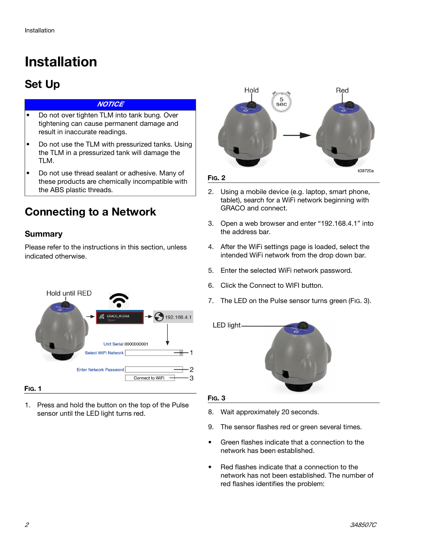# **Installation**

### **Set Up**

#### **NOTICE**

- Do not over tighten TLM into tank bung. Over tightening can cause permanent damage and result in inaccurate readings.
- Do not use the TLM with pressurized tanks. Using the TLM in a pressurized tank will damage the TLM.
- Do not use thread sealant or adhesive. Many of these products are chemically incompatible with the ABS plastic threads.

### **Connecting to a Network**

### **Summary**

Please refer to [t](#page-1-0)he instructions in this section, unless indicated otherwise.

<span id="page-1-0"></span>

#### **FIG. 1**

1. Press and hold the button on the top of the Pulse sensor until the LED light turns red.



- 2. Using a mobile device (e.g. laptop, smart phone, tablet), search for a WiFi network beginning with GRACO and connect.
- 3. Open a web browser and enter "192.168.4.1" into the address bar.
- 4. After the WiFi settings page is loaded, select the intended WiFi network from the drop down bar.
- 5. Enter the selected WiFi network password.
- 6. Click the Connect to WIFI button.
- 7. The LED on the Pulse sensor turns green [\(FIG. 3](#page-1-1)).



#### <span id="page-1-1"></span>**FIG. 3**

- 8. Wait approximately 20 seconds.
- 9. The sensor flashes red or green several times.
- Green flashes indicate that a connection to the network has been established.
- Red flashes indicate that a connection to the network has not been established. The number of red flashes identifies the problem: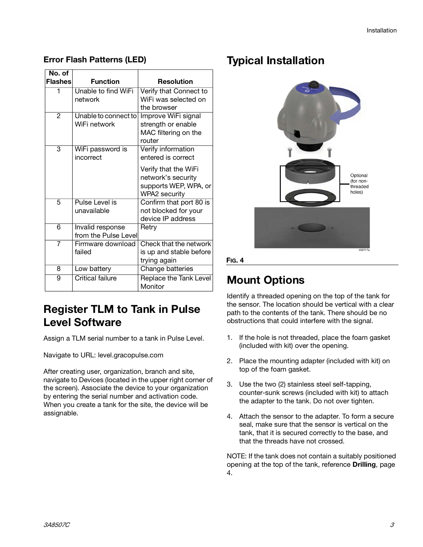| No. of         |                         |                         |
|----------------|-------------------------|-------------------------|
| <b>Flashes</b> | <b>Function</b>         | <b>Resolution</b>       |
| 1              | Unable to find WiFi     | Verify that Connect to  |
|                | network                 | WiFi was selected on    |
|                |                         | the browser             |
| 2              | Unable to connect to    | Improve WiFi signal     |
|                | WiFi network            | strength or enable      |
|                |                         | MAC filtering on the    |
|                |                         | router                  |
| 3              | WiFi password is        | Verify information      |
|                | incorrect               | entered is correct      |
|                |                         | Verify that the WiFi    |
|                |                         | network's security      |
|                |                         | supports WEP, WPA, or   |
|                |                         | WPA2 security           |
| 5              | Pulse Level is          | Confirm that port 80 is |
|                | unavailable             | not blocked for your    |
|                |                         | device IP address       |
| 6              | Invalid response        | Retry                   |
|                | from the Pulse Level    |                         |
| $\overline{7}$ | Firmware download       | Check that the network  |
|                | failed                  | is up and stable before |
|                |                         | trying again            |
| 8              | Low battery             | Change batteries        |
| 9              | <b>Critical failure</b> | Replace the Tank Level  |
|                |                         | Monitor                 |

#### **Error Flash Patterns (LED)**

### **Register TLM to Tank in Pulse Level Software**

Assign a TLM serial number to a tank in Pulse Level.

Navigate to URL: level.gracopulse.com

After creating user, organization, branch and site, navigate to Devices (located in the upper right corner of the screen). Associate the device to your organization by entering the serial number and activation code. When you create a tank for the site, the device will be assignable.

### **Typical Installation**



#### **FIG. 4**

### <span id="page-2-1"></span>**Mount Options**

Identify a threaded opening on the top of the tank for the sensor. The location should be vertical with a clear path to the contents of the tank. There should be no obstructions that could interfere with the signal.

- <span id="page-2-0"></span>1. If the hole is not threaded, place the foam gasket (included with kit) over the opening.
- 2. Place the mounting adapter (included with kit) on top of the foam gasket.
- 3. Use the two (2) stainless steel self-tapping, counter-sunk screws (included with kit) to attach the adapter to the tank. Do not over tighten.
- 4. Attach the sensor to the adapter. To form a secure seal, make sure that the sensor is vertical on the tank, that it is secured correctly to the base, and that the threads have not crossed.

NOTE: If the tank does not contain a suitably positioned opening at the top of the tank, reference **[Drilling](#page-3-0)**, page [4](#page-3-0).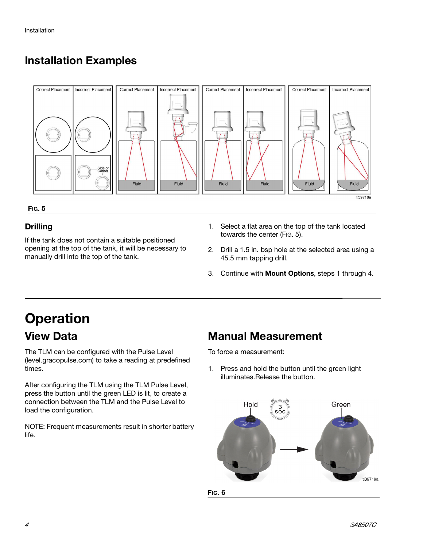### **Installation Examples**



#### <span id="page-3-1"></span>**FIG. 5**

### <span id="page-3-0"></span>**Drilling**

If the tank does not contain a suitable positioned opening at the top of the tank, it will be necessary to manually drill into the top of the tank.

- 1. Select a flat area on the top of the tank located towards the center [\(FIG. 5](#page-3-1)).
- 2. Drill a 1.5 in. bsp hole at the selected area using a 45.5 mm tapping drill.
- 3. Continue with **[Mount Options](#page-2-1)**, steps [1](#page-2-0) through 4.

### **Operation View Data**

The TLM can be configured with the Pulse Level (level.gracopulse.com) to take a reading at predefined times.

After configuring the TLM using the TLM Pulse Level, press the button until the green LED is lit, to create a connection between the TLM and the Pulse Level to load the configuration.

NOTE: Frequent measurements result in shorter battery life.

### **Manual Measurement**

To force a measurement:

1. Press and hold the button until the green light illuminates.Release the button.



4 3A8507C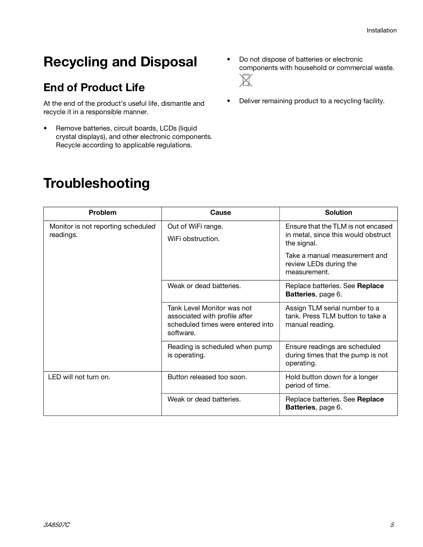# **Recycling and Disposal**

### **End of Product Life**

At the end of the product's useful life, dismantle and recycle it in a responsible manner.

- Remove batteries, circuit boards, LCDs (liquid crystal displays), and other electronic components. Recycle according to applicable regulations.
- Do not dispose of batteries or electronic components with household or commercial waste.  $\cancel{\mathbb{X}}$
- Deliver remaining product to a recycling facility.

# **Troubleshooting**

| <b>Problem</b>                                  | Cause                                                                                                         | Solution                                                                               |
|-------------------------------------------------|---------------------------------------------------------------------------------------------------------------|----------------------------------------------------------------------------------------|
| Monitor is not reporting scheduled<br>readings. | Out of WiFi range.<br>WiFi obstruction.                                                                       | Ensure that the TLM is not encased<br>in metal, since this would obstruct              |
|                                                 |                                                                                                               | the signal.<br>Take a manual measurement and<br>review LEDs during the<br>measurement. |
|                                                 | Weak or dead batteries.                                                                                       | Replace batteries. See Replace<br><b>Batteries</b> , page 6.                           |
|                                                 | Tank Level Monitor was not<br>associated with profile after<br>scheduled times were entered into<br>software. | Assign TLM serial number to a<br>tank. Press TLM button to take a<br>manual reading.   |
|                                                 | Reading is scheduled when pump<br>is operating.                                                               | Ensure readings are scheduled<br>during times that the pump is not<br>operating.       |
| LED will not turn on.                           | Button released too soon.                                                                                     | Hold button down for a longer<br>period of time.                                       |
|                                                 | Weak or dead batteries.                                                                                       | Replace batteries. See <b>Replace</b><br>Batteries, page 6.                            |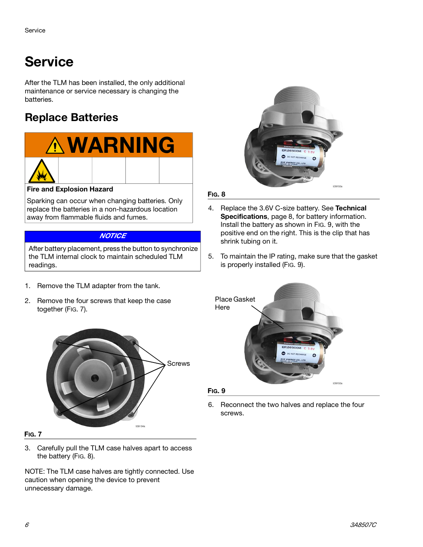# **Service**

After the TLM has been installed, the only additional maintenance or service necessary is changing the batteries.

### <span id="page-5-0"></span>**Replace Batteries**



#### **Fire and Explosion Hazard**

Sparking can occur when changing batteries. Only replace the batteries in a non-hazardous location away from flammable fluids and fumes.

#### **NOTICE**

After battery placement, press the button to synchronize the TLM internal clock to maintain scheduled TLM readings.

- 1. Remove the TLM adapter from the tank.
- 2. Remove the four screws that keep the case together ([FIG. 7\)](#page-5-1).



#### <span id="page-5-1"></span>**FIG. 7**

3. Carefully pull the TLM case halves apart to access the battery ([FIG. 8](#page-5-3)).

NOTE: The TLM case halves are tightly connected. Use caution when opening the device to prevent unnecessary damage.



#### <span id="page-5-3"></span>**FIG. 8**

- 4. Replace the 3.6V C-size battery. See **[Technical](#page-7-0)  [Specifications](#page-7-0)**, page [8](#page-7-0), for battery information. Install the battery as shown in [FIG. 9](#page-5-2), with the positive end on the right. This is the clip that has shrink tubing on it.
- 5. To maintain the IP rating, make sure that the gasket is properly installed [\(FIG. 9](#page-5-2)).



<span id="page-5-2"></span>**FIG. 9**

6. Reconnect the two halves and replace the four screws.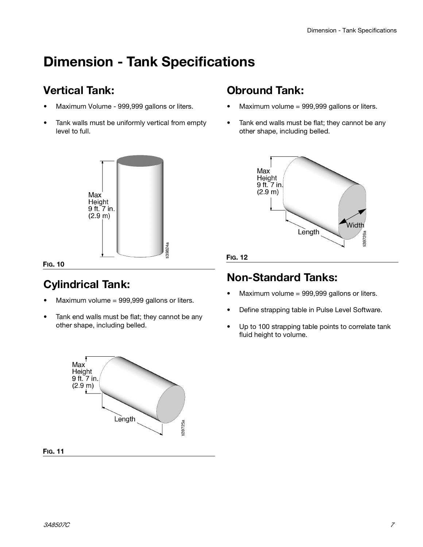# **Dimension - Tank Specifications**

### **Vertical Tank:**

- Maximum Volume 999,999 gallons or liters.
- Tank walls must be uniformly vertical from empty level to full.



#### **FIG. 10**

### **Cylindrical Tank:**

- Maximum volume = 999,999 gallons or liters.
- Tank end walls must be flat; they cannot be any other shape, including belled.

### **Obround Tank:**

- Maximum volume = 999,999 gallons or liters.
- Tank end walls must be flat; they cannot be any other shape, including belled.



#### **FIG. 12**

### **Non-Standard Tanks:**

- Maximum volume = 999,999 gallons or liters.
- Define strapping table in Pulse Level Software.
- Up to 100 strapping table points to correlate tank fluid height to volume.

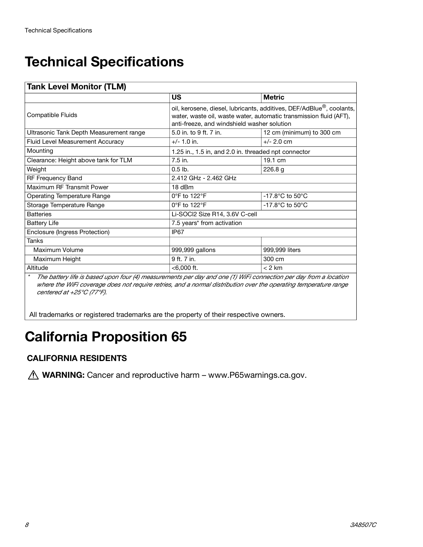# <span id="page-7-0"></span>**Technical Specifications**

| <b>Tank Level Monitor (TLM)</b>         |                                                                                                                                                                                           |                                       |  |  |
|-----------------------------------------|-------------------------------------------------------------------------------------------------------------------------------------------------------------------------------------------|---------------------------------------|--|--|
|                                         | <b>US</b>                                                                                                                                                                                 | <b>Metric</b>                         |  |  |
| Compatible Fluids                       | oil, kerosene, diesel, lubricants, additives, DEF/AdBlue®, coolants,<br>water, waste oil, waste water, automatic transmission fluid (AFT),<br>anti-freeze, and windshield washer solution |                                       |  |  |
| Ultrasonic Tank Depth Measurement range | 5.0 in. to 9 ft. 7 in.                                                                                                                                                                    | 12 cm (minimum) to 300 cm             |  |  |
| Fluid Level Measurement Accuracy        | $+/- 1.0$ in.                                                                                                                                                                             | $+/- 2.0$ cm                          |  |  |
| Mounting                                | 1.25 in., 1.5 in, and 2.0 in. threaded npt connector                                                                                                                                      |                                       |  |  |
| Clearance: Height above tank for TLM    | 7.5 in.                                                                                                                                                                                   | 19.1 cm                               |  |  |
| Weight                                  | $0.5$ lb.                                                                                                                                                                                 | 226.8 <sub>g</sub>                    |  |  |
| RF Frequency Band                       | 2.412 GHz - 2.462 GHz                                                                                                                                                                     |                                       |  |  |
| Maximum RF Transmit Power               | 18 dBm                                                                                                                                                                                    |                                       |  |  |
| <b>Operating Temperature Range</b>      | $0^{\circ}$ F to 122 $^{\circ}$ F                                                                                                                                                         | -17.8 $^{\circ}$ C to 50 $^{\circ}$ C |  |  |
| Storage Temperature Range               | 0°F to 122°F                                                                                                                                                                              | $-17.8$ °C to 50°C                    |  |  |
| <b>Batteries</b>                        | Li-SOCl2 Size R14, 3.6V C-cell                                                                                                                                                            |                                       |  |  |
| <b>Battery Life</b>                     | 7.5 years* from activation                                                                                                                                                                |                                       |  |  |
| Enclosure (Ingress Protection)          | IP67                                                                                                                                                                                      |                                       |  |  |
| <b>Tanks</b>                            |                                                                                                                                                                                           |                                       |  |  |
| Maximum Volume                          | 999,999 gallons                                                                                                                                                                           | 999,999 liters                        |  |  |
| Maximum Height                          | 9 ft. 7 in.                                                                                                                                                                               | 300 cm                                |  |  |
| Altitude                                | $< 6,000$ ft.                                                                                                                                                                             | $< 2$ km                              |  |  |

\* The battery life is based upon four (4) measurements per day and one (1) WiFi connection per day from a location where the WiFi coverage does not require retries, and a normal distribution over the operating temperature range centered at +25°C (77°F).

All trademarks or registered trademarks are the property of their respective owners.

# **California Proposition 65**

### **CALIFORNIA RESIDENTS**

*A* WARNING: Cancer and reproductive harm – www.P65warnings.ca.gov.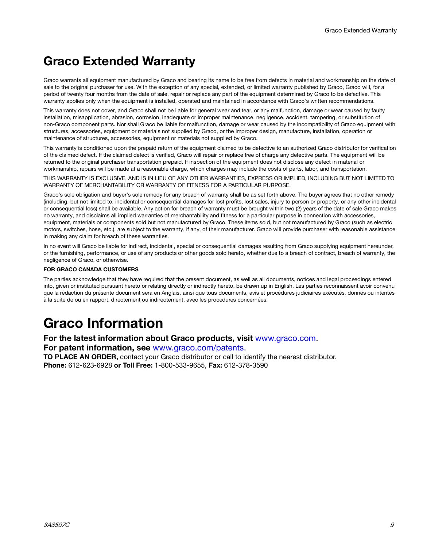### **Graco Extended Warranty**

Graco warrants all equipment manufactured by Graco and bearing its name to be free from defects in material and workmanship on the date of sale to the original purchaser for use. With the exception of any special, extended, or limited warranty published by Graco, Graco will, for a period of twenty four months from the date of sale, repair or replace any part of the equipment determined by Graco to be defective. This warranty applies only when the equipment is installed, operated and maintained in accordance with Graco's written recommendations.

This warranty does not cover, and Graco shall not be liable for general wear and tear, or any malfunction, damage or wear caused by faulty installation, misapplication, abrasion, corrosion, inadequate or improper maintenance, negligence, accident, tampering, or substitution of non-Graco component parts. Nor shall Graco be liable for malfunction, damage or wear caused by the incompatibility of Graco equipment with structures, accessories, equipment or materials not supplied by Graco, or the improper design, manufacture, installation, operation or maintenance of structures, accessories, equipment or materials not supplied by Graco.

This warranty is conditioned upon the prepaid return of the equipment claimed to be defective to an authorized Graco distributor for verification of the claimed defect. If the claimed defect is verified, Graco will repair or replace free of charge any defective parts. The equipment will be returned to the original purchaser transportation prepaid. If inspection of the equipment does not disclose any defect in material or workmanship, repairs will be made at a reasonable charge, which charges may include the costs of parts, labor, and transportation.

THIS WARRANTY IS EXCLUSIVE, AND IS IN LIEU OF ANY OTHER WARRANTIES, EXPRESS OR IMPLIED, INCLUDING BUT NOT LIMITED TO WARRANTY OF MERCHANTABILITY OR WARRANTY OF FITNESS FOR A PARTICULAR PURPOSE.

Graco's sole obligation and buyer's sole remedy for any breach of warranty shall be as set forth above. The buyer agrees that no other remedy (including, but not limited to, incidental or consequential damages for lost profits, lost sales, injury to person or property, or any other incidental or consequential loss) shall be available. Any action for breach of warranty must be brought within two (2) years of the date of sale Graco makes no warranty, and disclaims all implied warranties of merchantability and fitness for a particular purpose in connection with accessories, equipment, materials or components sold but not manufactured by Graco. These items sold, but not manufactured by Graco (such as electric motors, switches, hose, etc.), are subject to the warranty, if any, of their manufacturer. Graco will provide purchaser with reasonable assistance in making any claim for breach of these warranties.

In no event will Graco be liable for indirect, incidental, special or consequential damages resulting from Graco supplying equipment hereunder, or the furnishing, performance, or use of any products or other goods sold hereto, whether due to a breach of contract, breach of warranty, the negligence of Graco, or otherwise.

#### **FOR GRACO CANADA CUSTOMERS**

The parties acknowledge that they have required that the present document, as well as all documents, notices and legal proceedings entered into, given or instituted pursuant hereto or relating directly or indirectly hereto, be drawn up in English. Les parties reconnaissent avoir convenu que la rédaction du présente document sera en Anglais, ainsi que tous documents, avis et procédures judiciaires exécutés, donnés ou intentés à la suite de ou en rapport, directement ou indirectement, avec les procedures concernées.

# **Graco Information**

**For the latest information about Graco products, visit** www.graco.com.

**For patent information, see** www.graco.com/patents.

**TO PLACE AN ORDER,** contact your Graco distributor or call to identify the nearest distributor. **Phone:** 612-623-6928 **or Toll Free:** 1-800-533-9655, **Fax:** 612-378-3590